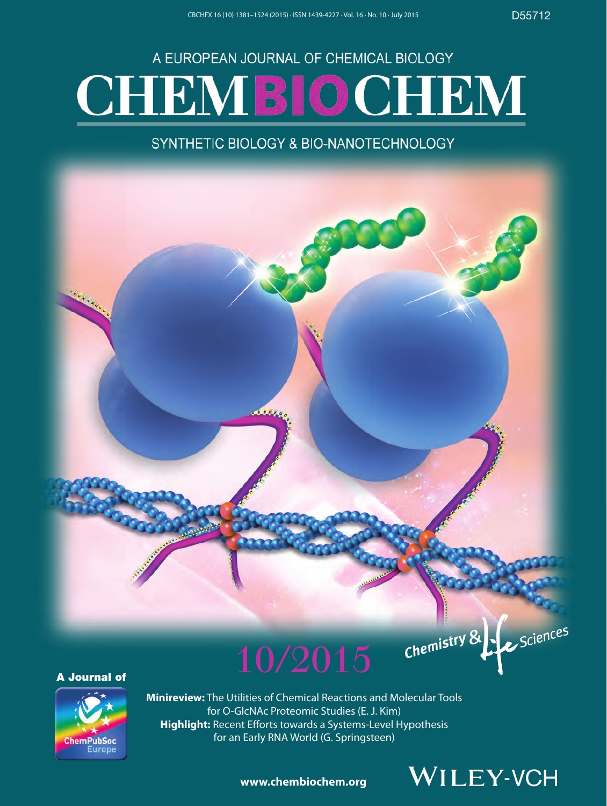# A EUROPEAN JOURNAL OF CHEMICAL BIOLOGY **CHEMBIOCHEM**

## SYNTHETIC BIOLOGY & BIO-NANOTECHNOLOGY



# 10/2015





**Minireview:** The Utilities of Chemical Reactions and Molecular Tools for O-GlcNAc Proteomic Studies (E. J. Kim) **Highlight:** Recent Efforts towards a Systems-Level Hypothesis for an Early RNA World (G. Springsteen)

**www.chembiochem.org**

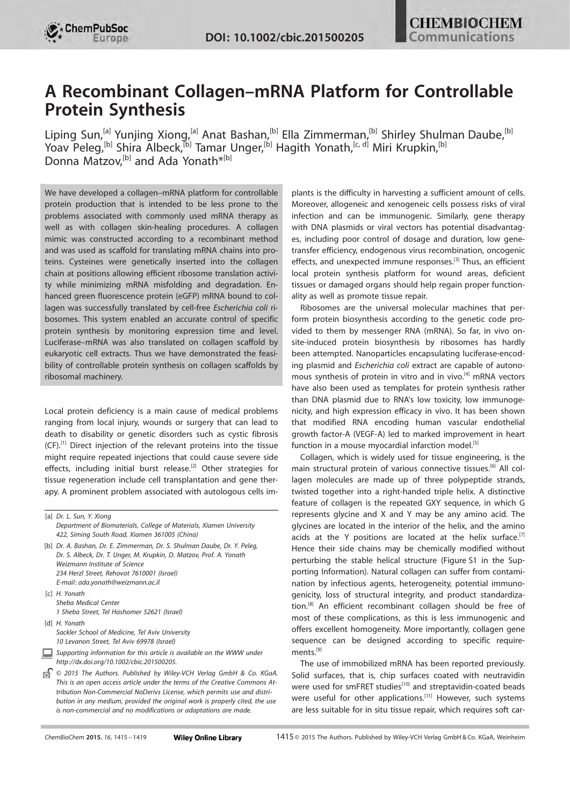

## A Recombinant Collagen–mRNA Platform for Controllable Protein Synthesis

Liping Sun,<sup>[a]</sup> Yuniing Xiong,<sup>[a]</sup> Anat Bashan,<sup>[b]</sup> Ella Zimmerman,<sup>[b]</sup> Shirley Shulman Daube,<sup>[b]</sup> Yoav Peleg,<sup>[b]</sup> Shira Albeck,<sup>[b]</sup> Tamar Unger,<sup>[b]</sup> Hagith Yonath,<sup>[c, d]</sup> Miri Krupkin,<sup>[b]</sup> Donna Matzov, [b] and Ada Yonath\*<sup>[b]</sup>

We have developed a collagen–mRNA platform for controllable protein production that is intended to be less prone to the problems associated with commonly used mRNA therapy as well as with collagen skin-healing procedures. A collagen mimic was constructed according to a recombinant method and was used as scaffold for translating mRNA chains into proteins. Cysteines were genetically inserted into the collagen chain at positions allowing efficient ribosome translation activity while minimizing mRNA misfolding and degradation. Enhanced green fluorescence protein (eGFP) mRNA bound to collagen was successfully translated by cell-free Escherichia coli ribosomes. This system enabled an accurate control of specific protein synthesis by monitoring expression time and level. Luciferase–mRNA was also translated on collagen scaffold by eukaryotic cell extracts. Thus we have demonstrated the feasibility of controllable protein synthesis on collagen scaffolds by ribosomal machinery.

Local protein deficiency is a main cause of medical problems ranging from local injury, wounds or surgery that can lead to death to disability or genetic disorders such as cystic fibrosis (CF).[1] Direct injection of the relevant proteins into the tissue might require repeated injections that could cause severe side effects, including initial burst release.<sup>[2]</sup> Other strategies for tissue regeneration include cell transplantation and gene therapy. A prominent problem associated with autologous cells im-

plants is the difficulty in harvesting a sufficient amount of cells. Moreover, allogeneic and xenogeneic cells possess risks of viral infection and can be immunogenic. Similarly, gene therapy with DNA plasmids or viral vectors has potential disadvantages, including poor control of dosage and duration, low genetransfer efficiency, endogenous virus recombination, oncogenic effects, and unexpected immune responses.<sup>[3]</sup> Thus, an efficient local protein synthesis platform for wound areas, deficient tissues or damaged organs should help regain proper functionality as well as promote tissue repair.

Ribosomes are the universal molecular machines that perform protein biosynthesis according to the genetic code provided to them by messenger RNA (mRNA). So far, in vivo onsite-induced protein biosynthesis by ribosomes has hardly been attempted. Nanoparticles encapsulating luciferase-encoding plasmid and Escherichia coli extract are capable of autonomous synthesis of protein in vitro and in vivo.[4] mRNA vectors have also been used as templates for protein synthesis rather than DNA plasmid due to RNA's low toxicity, low immunogenicity, and high expression efficacy in vivo. It has been shown that modified RNA encoding human vascular endothelial growth factor-A (VEGF-A) led to marked improvement in heart function in a mouse myocardial infarction model.<sup>[5]</sup>

Collagen, which is widely used for tissue engineering, is the main structural protein of various connective tissues.<sup>[6]</sup> All collagen molecules are made up of three polypeptide strands, twisted together into a right-handed triple helix. A distinctive feature of collagen is the repeated GXY sequence, in which G represents glycine and X and Y may be any amino acid. The glycines are located in the interior of the helix, and the amino acids at the Y positions are located at the helix surface.<sup>[7]</sup> Hence their side chains may be chemically modified without perturbing the stable helical structure (Figure S1 in the Supporting Information). Natural collagen can suffer from contamination by infectious agents, heterogeneity, potential immunogenicity, loss of structural integrity, and product standardization.[8] An efficient recombinant collagen should be free of most of these complications, as this is less immunogenic and offers excellent homogeneity. More importantly, collagen gene sequence can be designed according to specific requirements.[9]

The use of immobilized mRNA has been reported previously. Solid surfaces, that is, chip surfaces coated with neutravidin were used for smFRET studies<sup>[10]</sup> and streptavidin-coated beads were useful for other applications.<sup>[11]</sup> However, such systems are less suitable for in situ tissue repair, which requires soft car-

<sup>[</sup>a] Dr. L. Sun, Y. Xiong Department of Biomaterials, College of Materials, Xiamen University 422, Siming South Road, Xiamen 361005 (China) [b] Dr. A. Bashan, Dr. E. Zimmerman, Dr. S. Shulman Daube, Dr. Y. Peleg, Dr. S. Albeck, Dr. T. Unger, M. Krupkin, D. Matzov, Prof. A. Yonath Weizmann Institute of Science 234 Herzl Street, Rehovot 7610001 (Israel) E-mail: ada.yonath@weizmann.ac.il [c] H. Yonath Sheba Medical Center 1 Sheba Street, Tel Hashomer 52621 (Israel) [d] H. Yonath Sackler School of Medicine, Tel Aviv University 10 Levanon Street, Tel Aviv 69978 (Israel) Supporting information for this article is available on the WWW under <http://dx.doi.org/10.1002/cbic.201500205>.  $\bigcap$  © 2015 The Authors. Published by Wiley-VCH Verlag GmbH & Co. KGaA. This is an open access article under the terms of the Creative Commons Attribution Non-Commercial NoDerivs License, which permits use and distribution in any medium, provided the original work is properly cited, the use is non-commercial and no modifications or adaptations are made.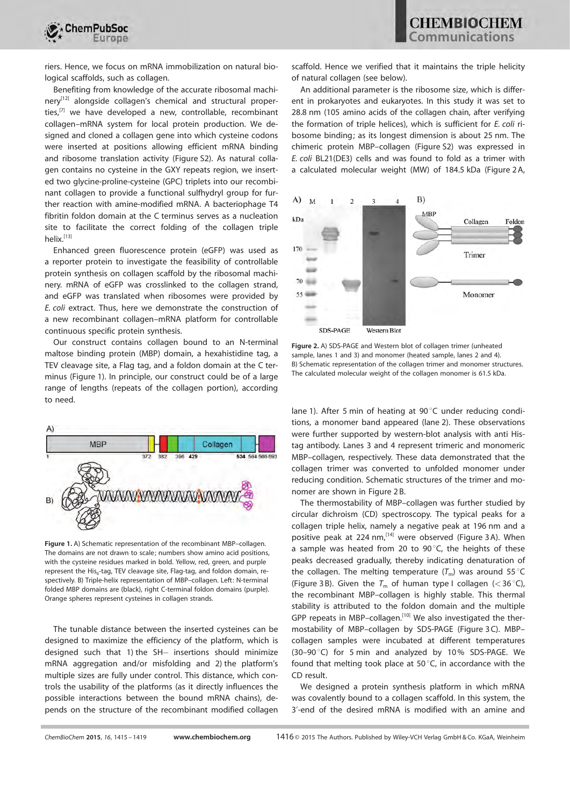

riers. Hence, we focus on mRNA immobilization on natural biological scaffolds, such as collagen.

Benefiting from knowledge of the accurate ribosomal machinery<sup>[12]</sup> alongside collagen's chemical and structural properties, $^{[7]}$  we have developed a new, controllable, recombinant collagen–mRNA system for local protein production. We designed and cloned a collagen gene into which cysteine codons were inserted at positions allowing efficient mRNA binding and ribosome translation activity (Figure S2). As natural collagen contains no cysteine in the GXY repeats region, we inserted two glycine-proline-cysteine (GPC) triplets into our recombinant collagen to provide a functional sulfhydryl group for further reaction with amine-modified mRNA. A bacteriophage T4 fibritin foldon domain at the C terminus serves as a nucleation site to facilitate the correct folding of the collagen triple helix.[13]

Enhanced green fluorescence protein (eGFP) was used as a reporter protein to investigate the feasibility of controllable protein synthesis on collagen scaffold by the ribosomal machinery. mRNA of eGFP was crosslinked to the collagen strand, and eGFP was translated when ribosomes were provided by E. coli extract. Thus, here we demonstrate the construction of a new recombinant collagen–mRNA platform for controllable continuous specific protein synthesis.

Our construct contains collagen bound to an N-terminal maltose binding protein (MBP) domain, a hexahistidine tag, a TEV cleavage site, a Flag tag, and a foldon domain at the C terminus (Figure 1). In principle, our construct could be of a large range of lengths (repeats of the collagen portion), according to need.



Figure 1. A) Schematic representation of the recombinant MBP–collagen. The domains are not drawn to scale; numbers show amino acid positions, with the cysteine residues marked in bold. Yellow, red, green, and purple represent the His<sub>6</sub>-tag, TEV cleavage site, Flag-tag, and foldon domain, respectively. B) Triple-helix representation of MBP–collagen. Left: N-terminal folded MBP domains are (black), right C-terminal foldon domains (purple). Orange spheres represent cysteines in collagen strands.

The tunable distance between the inserted cysteines can be designed to maximize the efficiency of the platform, which is designed such that 1) the SH- insertions should minimize mRNA aggregation and/or misfolding and 2) the platform's multiple sizes are fully under control. This distance, which controls the usability of the platforms (as it directly influences the possible interactions between the bound mRNA chains), depends on the structure of the recombinant modified collagen

scaffold. Hence we verified that it maintains the triple helicity of natural collagen (see below).

An additional parameter is the ribosome size, which is different in prokaryotes and eukaryotes. In this study it was set to 28.8 nm (105 amino acids of the collagen chain, after verifying the formation of triple helices), which is sufficient for E. coli ribosome binding; as its longest dimension is about 25 nm. The chimeric protein MBP–collagen (Figure S2) was expressed in E. coli BL21(DE3) cells and was found to fold as a trimer with a calculated molecular weight (MW) of 184.5 kDa (Figure 2A,



Figure 2. A) SDS-PAGE and Western blot of collagen trimer (unheated sample, lanes 1 and 3) and monomer (heated sample, lanes 2 and 4). B) Schematic representation of the collagen trimer and monomer structures. The calculated molecular weight of the collagen monomer is 61.5 kDa.

lane 1). After 5 min of heating at 90 $^{\circ}$ C under reducing conditions, a monomer band appeared (lane 2). These observations were further supported by western-blot analysis with anti Histag antibody. Lanes 3 and 4 represent trimeric and monomeric MBP–collagen, respectively. These data demonstrated that the collagen trimer was converted to unfolded monomer under reducing condition. Schematic structures of the trimer and monomer are shown in Figure 2 B.

The thermostability of MBP–collagen was further studied by circular dichroism (CD) spectroscopy. The typical peaks for a collagen triple helix, namely a negative peak at 196 nm and a positive peak at 224 nm,<sup>[14]</sup> were observed (Figure 3A). When a sample was heated from 20 to 90 $^{\circ}$ C, the heights of these peaks decreased gradually, thereby indicating denaturation of the collagen. The melting temperature  $(T_m)$  was around 55 °C (Figure 3B). Given the  $T_m$  of human type I collagen (<36 °C), the recombinant MBP–collagen is highly stable. This thermal stability is attributed to the foldon domain and the multiple GPP repeats in MBP-collagen.<sup>[10]</sup> We also investigated the thermostability of MBP–collagen by SDS-PAGE (Figure 3 C). MBP– collagen samples were incubated at different temperatures (30–90 $^{\circ}$ C) for 5 min and analyzed by 10% SDS-PAGE. We found that melting took place at  $50^{\circ}$ C, in accordance with the CD result.

We designed a protein synthesis platform in which mRNA was covalently bound to a collagen scaffold. In this system, the 3'-end of the desired mRNA is modified with an amine and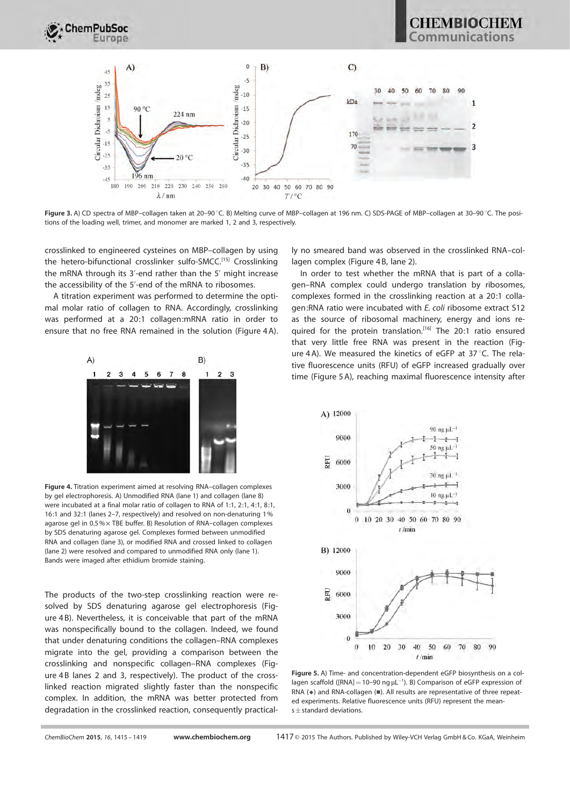

### CHEMBIOCHEM **nmunications**



Figure 3. A) CD spectra of MBP-collagen taken at 20-90 °C. B) Melting curve of MBP-collagen at 196 nm. C) SDS-PAGE of MBP-collagen at 30-90 °C. The positions of the loading well, trimer, and monomer are marked 1, 2 and 3, respectively.

crosslinked to engineered cysteines on MBP–collagen by using the hetero-bifunctional crosslinker sulfo-SMCC.<sup>[15]</sup> Crosslinking the mRNA through its 3'-end rather than the 5' might increase the accessibility of the 5'-end of the mRNA to ribosomes.

A titration experiment was performed to determine the optimal molar ratio of collagen to RNA. Accordingly, crosslinking was performed at a 20:1 collagen:mRNA ratio in order to ensure that no free RNA remained in the solution (Figure 4A).



Figure 4. Titration experiment aimed at resolving RNA–collagen complexes by gel electrophoresis. A) Unmodified RNA (lane 1) and collagen (lane 8) were incubated at a final molar ratio of collagen to RNA of 1:1, 2:1, 4:1, 8:1, 16:1 and 32:1 (lanes 2–7, respectively) and resolved on non-denaturing 1% agarose gel in  $0.5\% \times$  TBE buffer. B) Resolution of RNA-collagen complexes by SDS denaturing agarose gel. Complexes formed between unmodified RNA and collagen (lane 3), or modified RNA and crossed linked to collagen (lane 2) were resolved and compared to unmodified RNA only (lane 1). Bands were imaged after ethidium bromide staining.

The products of the two-step crosslinking reaction were resolved by SDS denaturing agarose gel electrophoresis (Figure 4 B). Nevertheless, it is conceivable that part of the mRNA was nonspecifically bound to the collagen. Indeed, we found that under denaturing conditions the collagen–RNA complexes migrate into the gel, providing a comparison between the crosslinking and nonspecific collagen–RNA complexes (Figure 4B lanes 2 and 3, respectively). The product of the crosslinked reaction migrated slightly faster than the nonspecific complex. In addition, the mRNA was better protected from degradation in the crosslinked reaction, consequently practically no smeared band was observed in the crosslinked RNA–collagen complex (Figure 4 B, lane 2).

In order to test whether the mRNA that is part of a collagen–RNA complex could undergo translation by ribosomes, complexes formed in the crosslinking reaction at a 20:1 collagen:RNA ratio were incubated with E. coli ribosome extract S12 as the source of ribosomal machinery, energy and ions required for the protein translation.<sup>[16]</sup> The 20:1 ratio ensured that very little free RNA was present in the reaction (Figure 4A). We measured the kinetics of eGFP at 37 $^{\circ}$ C. The relative fluorescence units (RFU) of eGFP increased gradually over time (Figure 5 A), reaching maximal fluorescence intensity after



Figure 5. A) Time- and concentration-dependent eGFP biosynthesis on a collagen scaffold ([RNA] = 10-90 ng  $\mu$ L<sup>-1</sup>). B) Comparison of eGFP expression of RNA ( $\bullet$ ) and RNA-collagen ( $\blacksquare$ ). All results are representative of three repeated experiments. Relative fluorescence units (RFU) represent the mean $s +$ standard deviations.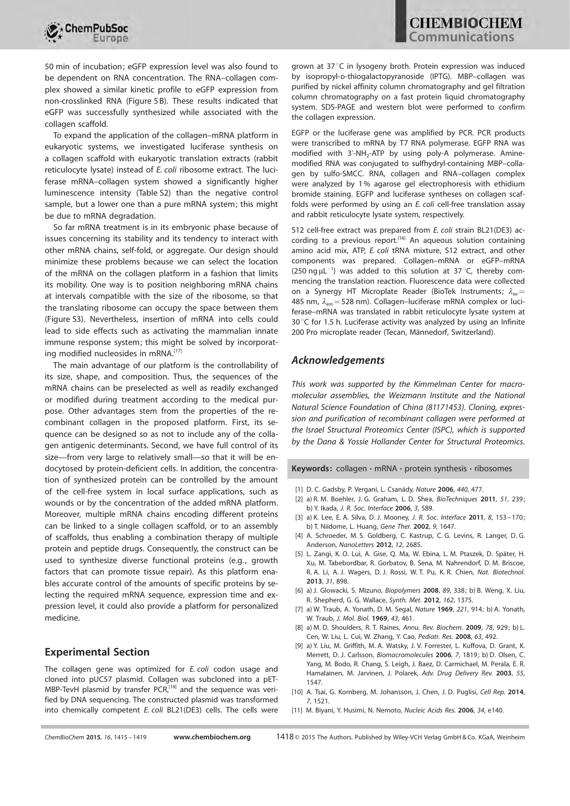

50 min of incubation; eGFP expression level was also found to be dependent on RNA concentration. The RNA–collagen complex showed a similar kinetic profile to eGFP expression from non-crosslinked RNA (Figure 5 B). These results indicated that eGFP was successfully synthesized while associated with the collagen scaffold.

To expand the application of the collagen–mRNA platform in eukaryotic systems, we investigated luciferase synthesis on a collagen scaffold with eukaryotic translation extracts (rabbit reticulocyte lysate) instead of E. coli ribosome extract. The luciferase mRNA–collagen system showed a significantly higher luminescence intensity (Table S2) than the negative control sample, but a lower one than a pure mRNA system; this might be due to mRNA degradation.

So far mRNA treatment is in its embryonic phase because of issues concerning its stability and its tendency to interact with other mRNA chains, self-fold, or aggregate. Our design should minimize these problems because we can select the location of the mRNA on the collagen platform in a fashion that limits its mobility. One way is to position neighboring mRNA chains at intervals compatible with the size of the ribosome, so that the translating ribosome can occupy the space between them (Figure S3). Nevertheless, insertion of mRNA into cells could lead to side effects such as activating the mammalian innate immune response system; this might be solved by incorporating modified nucleosides in mRNA.[17]

The main advantage of our platform is the controllability of its size, shape, and composition. Thus, the sequences of the mRNA chains can be preselected as well as readily exchanged or modified during treatment according to the medical purpose. Other advantages stem from the properties of the recombinant collagen in the proposed platform. First, its sequence can be designed so as not to include any of the collagen antigenic determinants. Second, we have full control of its size—from very large to relatively small—so that it will be endocytosed by protein-deficient cells. In addition, the concentration of synthesized protein can be controlled by the amount of the cell-free system in local surface applications, such as wounds or by the concentration of the added mRNA platform. Moreover, multiple mRNA chains encoding different proteins can be linked to a single collagen scaffold, or to an assembly of scaffolds, thus enabling a combination therapy of multiple protein and peptide drugs. Consequently, the construct can be used to synthesize diverse functional proteins (e.g., growth factors that can promote tissue repair). As this platform enables accurate control of the amounts of specific proteins by selecting the required mRNA sequence, expression time and expression level, it could also provide a platform for personalized medicine.

### Experimental Section

The collagen gene was optimized for E. coli codon usage and cloned into pUC57 plasmid. Collagen was subcloned into a pET-MBP-TevH plasmid by transfer PCR,<sup>[18]</sup> and the sequence was verified by DNA sequencing. The constructed plasmid was transformed into chemically competent E. coli BL21(DE3) cells. The cells were

grown at 37°C in lysogeny broth. Protein expression was induced by isopropyl-D-thiogalactopyranoside (IPTG). MBP–collagen was purified by nickel affinity column chromatography and gel filtration column chromatography on a fast protein liquid chromatography system. SDS-PAGE and western blot were performed to confirm the collagen expression.

EGFP or the luciferase gene was amplified by PCR. PCR products were transcribed to mRNA by T7 RNA polymerase. EGFP RNA was modified with 3'-NH<sub>2</sub>-ATP by using poly-A polymerase. Aminemodified RNA was conjugated to sulfhydryl-containing MBP–collagen by sulfo-SMCC. RNA, collagen and RNA–collagen complex were analyzed by 1% agarose gel electrophoresis with ethidium bromide staining. EGFP and luciferase syntheses on collagen scaffolds were performed by using an E. coli cell-free translation assay and rabbit reticulocyte lysate system, respectively.

S12 cell-free extract was prepared from E. coli strain BL21(DE3) according to a previous report.<sup>[16]</sup> An aqueous solution containing amino acid mix, ATP, E. coli tRNA mixture, S12 extract, and other components was prepared. Collagen–mRNA or eGFP–mRNA  $(250 \text{ ng }\mu\text{L}^{-1})$  was added to this solution at 37°C, thereby commencing the translation reaction. Fluorescence data were collected on a Synergy HT Microplate Reader (BioTek Instruments;  $\lambda_{ex}$  = 485 nm,  $\lambda_{em} = 528$  nm). Collagen–luciferase mRNA complex or luciferase–mRNA was translated in rabbit reticulocyte lysate system at  $30^{\circ}$ C for 1.5 h. Luciferase activity was analyzed by using an Infinite 200 Pro microplate reader (Tecan, Männedorf, Switzerland).

### Acknowledgements

This work was supported by the Kimmelman Center for macromolecular assemblies, the Weizmann Institute and the National Natural Science Foundation of China (81171453). Cloning, expression and purification of recombinant collagen were performed at the Israel Structural Proteomics Center (ISPC), which is supported by the Dana & Yossie Hollander Center for Structural Proteomics.

Keywords: collagen · mRNA · protein synthesis · ribosomes

- [1] D. C. Gadsby, P. Vergani, L. Csanády, Nature [2006](http://dx.doi.org/10.1038/nature04712), 440, 477.
- [2] a) R. M. Boehler, J. G. Graham, L. D. Shea, BioTechniques 2011, 51, 239; b) Y. Ikada, [J. R. Soc. Interface](http://dx.doi.org/10.1098/rsif.2006.0124) 2006, 3, 589.
- [3] a) K. Lee, E. A. Silva, D. J. Mooney, [J. R. Soc. Interface](http://dx.doi.org/10.1098/rsif.2010.0223) 2011, 8, 153 170; b) T. Niidome, L. Huang, [Gene Ther.](http://dx.doi.org/10.1038/sj.gt.3301923) 2002, 9, 1647.
- [4] A. Schroeder, M. S. Goldberg, C. Kastrup, C. G. Levins, R. Langer, D. G. Anderson, [NanoLetters](http://dx.doi.org/10.1021/nl2036047) 2012, 12, 2685.
- [5] L. Zangi, K. O. Lui, A. Gise, Q. Ma, W. Ebina, L. M. Ptaszek, D. Später, H. Xu, M. Tabebordbar, R. Gorbatov, B. Sena, M. Nahrendorf, D. M. Briscoe, R. A. Li, A. J. Wagers, D. J. Rossi, W. T. Pu, K. R. Chien, [Nat. Biotechnol.](http://dx.doi.org/10.1038/nbt.2682) [2013](http://dx.doi.org/10.1038/nbt.2682), 31, 898.
- [6] a) J. Glowacki, S. Mizuno, [Biopolymers](http://dx.doi.org/10.1002/bip.20871) 2008, 89, 338; b) B. Weng, X. Liu, R. Shepherd, G. G. Wallace, [Synth. Met.](http://dx.doi.org/10.1016/j.synthmet.2012.05.022) 2012, 162, 1375.
- [7] a) W. Traub, A. Yonath, D. M. Segal, [Nature](http://dx.doi.org/10.1038/221914a0) 1969, 221, 914; b) A. Yonath, W. Traub, [J. Mol. Biol.](http://dx.doi.org/10.1016/0022-2836(69)90352-0) 1969, 43, 461.
- [8] a) M. D. Shoulders, R. T. Raines, [Annu. Rev. Biochem.](http://dx.doi.org/10.1146/annurev.biochem.77.032207.120833) 2009, 78, 929; b) L. Cen, W. Liu, L. Cui, W. Zhang, Y. Cao, [Pediatr. Res.](http://dx.doi.org/10.1203/PDR.0b013e31816c5bc3) 2008, 63, 492.
- [9] a) Y. Liu, M. Griffith, M. A. Watsky, J. V. Forrester, L. Kuffova, D. Grant, K. Merrett, D. J. Carlsson, [Biomacromolecules](http://dx.doi.org/10.1021/bm060160o) 2006, 7, 1819; b) D. Olsen, C. Yang, M. Bodo, R. Chang, S. Leigh, J. Baez, D. Carmichael, M. Perala, E. R. Hamalainen, M. Jarvinen, J. Polarek, [Adv. Drug Delivery Rev.](http://dx.doi.org/10.1016/j.addr.2003.08.008) 2003, 55, [1547.](http://dx.doi.org/10.1016/j.addr.2003.08.008)
- [10] A. Tsai, G. Kornberg, M. Johansson, J. Chen, J. D. Puglisi, [Cell Rep.](http://dx.doi.org/10.1016/j.celrep.2014.04.033) 2014, 7[, 1521](http://dx.doi.org/10.1016/j.celrep.2014.04.033).
- [11] M. Biyani, Y. Husimi, N. Nemoto, [Nucleic Acids Res.](http://dx.doi.org/10.1093/nar/gkl771) 2006, 34, e140.